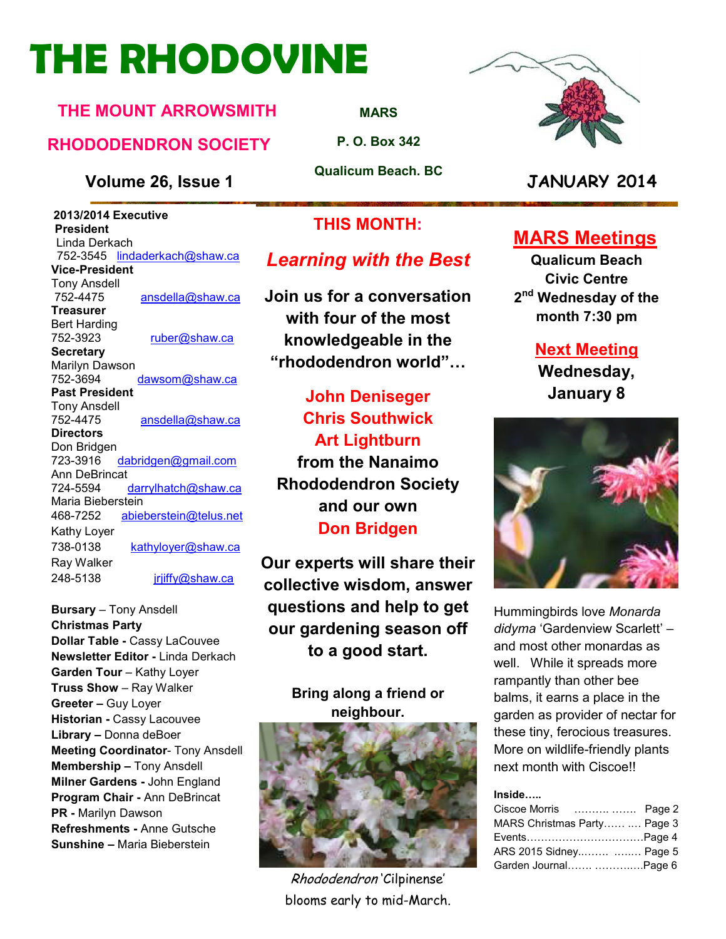# **THE RHODOVINE**

### **THE MOUNT ARROWSMITH**

### **RHODODENDRON SOCIETY**

#### **Volume 26, Issue 1 JANUARY 2014**

 **2013/2014 Executive President**  Linda Derkach 752-3545 lindaderkach@shaw.ca **Vice-President**  Tony Ansdell ansdella@shaw.ca **Treasurer**  Bert Harding 752-3923 ruber@shaw.ca **Secretary** Marilyn Dawson 752-3694 dawsom@shaw.ca **Past President**  Tony Ansdell 752-4475 ansdella@shaw.ca **Directors**  Don Bridgen 723-3916 dabridgen@gmail.com Ann DeBrincat<br>724-5594 darrylhatch@shaw.ca Maria Bieberstein<br>468-7252 abiel abieberstein@telus.net Kathy Loyer 738-0138 kathyloyer@shaw.ca Ray Walker 248-5138 jrjiffy@shaw.ca

**Bursary** – Tony Ansdell **Christmas Party Dollar Table -** Cassy LaCouvee **Newsletter Editor -** Linda Derkach **Garden Tour** – Kathy Loyer **Truss Show** – Ray Walker **Greeter –** Guy Loyer **Historian -** Cassy Lacouvee **Library –** Donna deBoer **Meeting Coordinator- Tony Ansdell Membership –** Tony Ansdell **Milner Gardens -** John England **Program Chair -** Ann DeBrincat **PR -** Marilyn Dawson **Refreshments -** Anne Gutsche **Sunshine –** Maria Bieberstein

**MARS**

**P. O. Box 342** 

**Qualicum Beach. BC** 

### **THIS MONTH:**

### *Learning with the Best*

**Join us for a conversation with four of the most knowledgeable in the "rhododendron world";**

**John Deniseger Chris Southwick Art Lightburn from the Nanaimo Rhododendron Society and our own Don Bridgen** 

**Our experts will share their collective wisdom, answer questions and help to get our gardening season off to a good start.** 

#### **Bring along a friend or neighbour.**



Rhododendron 'Cilpinense' blooms early to mid-March.



### **MARS Meetings**

**Qualicum Beach Civic Centre 2 nd Wednesday of the month 7:30 pm** 

### **Next Meeting**

**Wednesday, January 8** 



Hummingbirds love *Monarda didyma* 'Gardenview Scarlett' – and most other monardas as well. While it spreads more rampantly than other bee balms, it earns a place in the garden as provider of nectar for these tiny, ferocious treasures. More on wildlife-friendly plants next month with Ciscoe!!

#### Inside.....

| Ciscoe Morris   Page 2       |  |
|------------------------------|--|
| MARS Christmas Party  Page 3 |  |
|                              |  |
| ARS 2015 Sidney  Page 5      |  |
| Garden Journal Page 6        |  |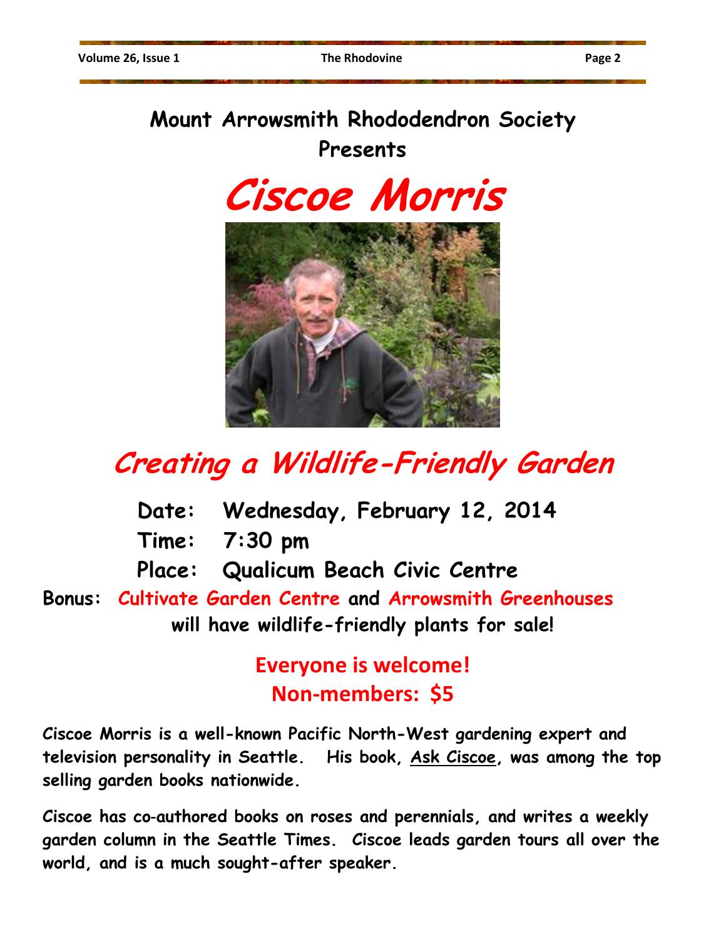### **Mount Arrowsmith Rhododendron Society Presents**

**Ciscoe Morris** 



## **Creating a Wildlife-Friendly Garden**

- **Date: Wednesday, February 12, 2014**
- **Time: 7:30 pm**
- **Place: Qualicum Beach Civic Centre**

**Bonus: Cultivate Garden Centre and Arrowsmith Greenhouses will have wildlife-friendly plants for sale!** 

> **Everyone is welcome! Non-members: \$5**

**Ciscoe Morris is a well-known Pacific North-West gardening expert and television personality in Seattle. His book, Ask Ciscoe, was among the top selling garden books nationwide.** 

**Ciscoe has co**‐**authored books on roses and perennials, and writes a weekly garden column in the Seattle Times. Ciscoe leads garden tours all over the world, and is a much sought-after speaker.**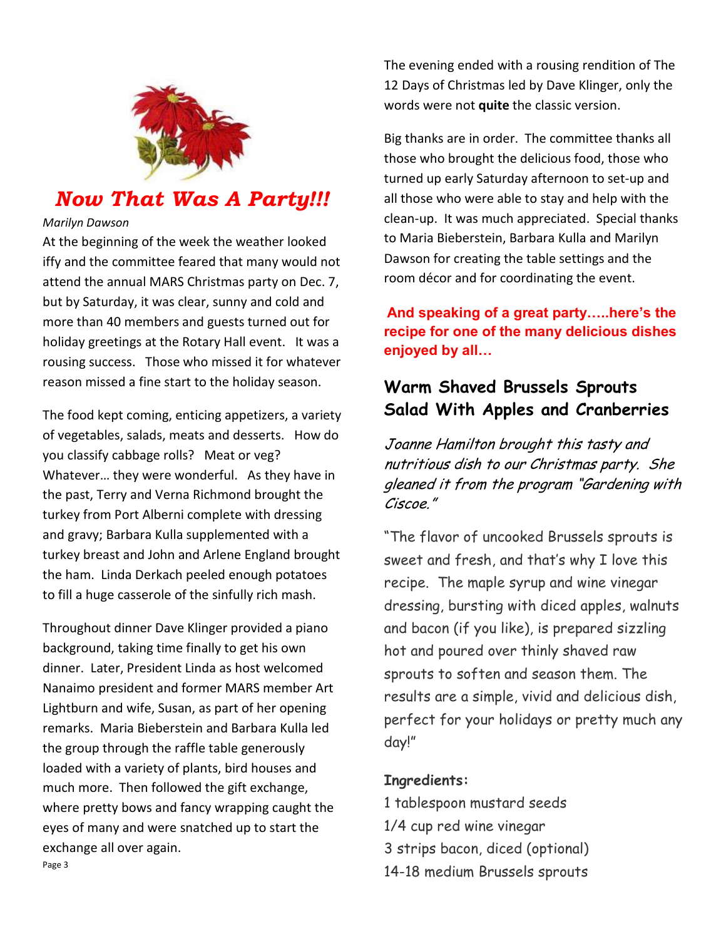

### *Now That Was A Party!!!*

#### *Marilyn Dawson*

At the beginning of the week the weather looked iffy and the committee feared that many would not attend the annual MARS Christmas party on Dec. 7, but by Saturday, it was clear, sunny and cold and more than 40 members and guests turned out for holiday greetings at the Rotary Hall event. It was a rousing success. Those who missed it for whatever reason missed a fine start to the holiday season.

The food kept coming, enticing appetizers, a variety of vegetables, salads, meats and desserts. How do you classify cabbage rolls? Meat or veg? Whatever… they were wonderful. As they have in the past, Terry and Verna Richmond brought the turkey from Port Alberni complete with dressing and gravy; Barbara Kulla supplemented with a turkey breast and John and Arlene England brought the ham. Linda Derkach peeled enough potatoes to fill a huge casserole of the sinfully rich mash.

Throughout dinner Dave Klinger provided a piano background, taking time finally to get his own dinner. Later, President Linda as host welcomed Nanaimo president and former MARS member Art Lightburn and wife, Susan, as part of her opening remarks. Maria Bieberstein and Barbara Kulla led the group through the raffle table generously loaded with a variety of plants, bird houses and much more. Then followed the gift exchange, where pretty bows and fancy wrapping caught the eyes of many and were snatched up to start the exchange all over again. Page 3

The evening ended with a rousing rendition of The 12 Days of Christmas led by Dave Klinger, only the words were not **quite** the classic version.

Big thanks are in order. The committee thanks all those who brought the delicious food, those who turned up early Saturday afternoon to set-up and all those who were able to stay and help with the clean-up. It was much appreciated. Special thanks to Maria Bieberstein, Barbara Kulla and Marilyn Dawson for creating the table settings and the room décor and for coordinating the event.

**And speaking of a great party;..here's the recipe for one of the many delicious dishes enjoyed by all;**

### **Warm Shaved Brussels Sprouts Salad With Apples and Cranberries**

Joanne Hamilton brought this tasty and nutritious dish to our Christmas party. She gleaned it from the program "Gardening with Ciscoe."

"The flavor of uncooked Brussels sprouts is sweet and fresh, and that's why I love this recipe. The maple syrup and wine vinegar dressing, bursting with diced apples, walnuts and bacon (if you like), is prepared sizzling hot and poured over thinly shaved raw sprouts to soften and season them. The results are a simple, vivid and delicious dish, perfect for your holidays or pretty much any day!"

#### **Ingredients:**

- 1 tablespoon mustard seeds
- 1/4 cup red wine vinegar
- 3 strips bacon, diced (optional)
- 14-18 medium Brussels sprouts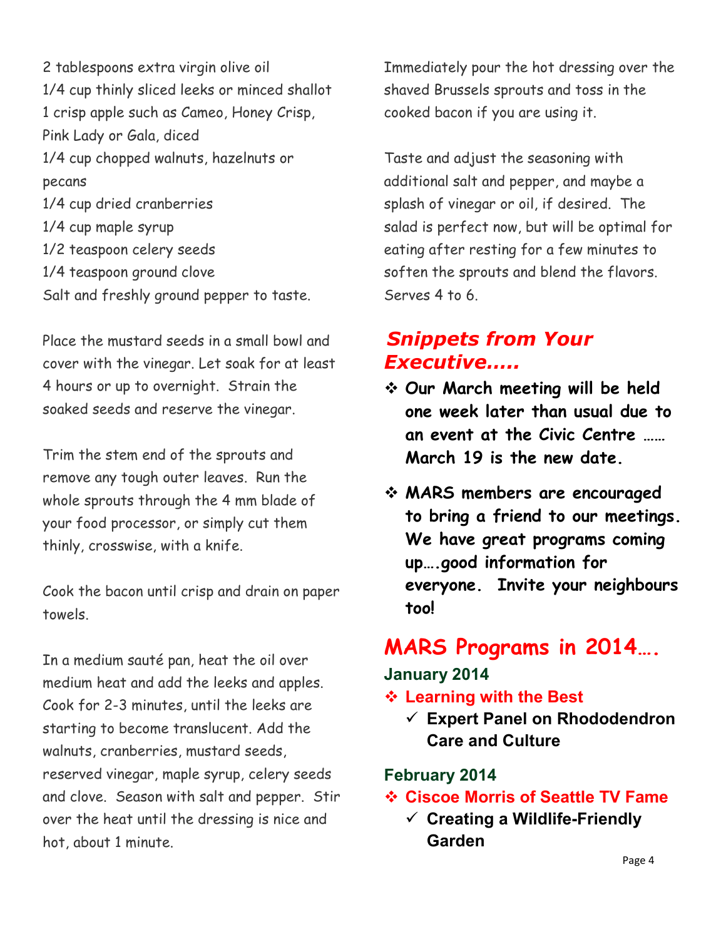2 tablespoons extra virgin olive oil 1/4 cup thinly sliced leeks or minced shallot 1 crisp apple such as Cameo, Honey Crisp, Pink Lady or Gala, diced 1/4 cup chopped walnuts, hazelnuts or pecans 1/4 cup dried cranberries 1/4 cup maple syrup 1/2 teaspoon celery seeds 1/4 teaspoon ground clove Salt and freshly ground pepper to taste.

Place the mustard seeds in a small bowl and cover with the vinegar. Let soak for at least 4 hours or up to overnight. Strain the soaked seeds and reserve the vinegar.

Trim the stem end of the sprouts and remove any tough outer leaves. Run the whole sprouts through the 4 mm blade of your food processor, or simply cut them thinly, crosswise, with a knife.

Cook the bacon until crisp and drain on paper towels.

In a medium sauté pan, heat the oil over medium heat and add the leeks and apples. Cook for 2-3 minutes, until the leeks are starting to become translucent. Add the walnuts, cranberries, mustard seeds, reserved vinegar, maple syrup, celery seeds and clove. Season with salt and pepper. Stir over the heat until the dressing is nice and hot, about 1 minute.

Immediately pour the hot dressing over the shaved Brussels sprouts and toss in the cooked bacon if you are using it.

Taste and adjust the seasoning with additional salt and pepper, and maybe a splash of vinegar or oil, if desired. The salad is perfect now, but will be optimal for eating after resting for a few minutes to soften the sprouts and blend the flavors. Serves 4 to 6.

### *Snippets from Your Executive…..*

- **Our March meeting will be held one week later than usual due to an event at the Civic Centre …… March 19 is the new date.**
- **MARS members are encouraged to bring a friend to our meetings. We have great programs coming up….good information for everyone. Invite your neighbours too!**

### **MARS Programs in 2014….**

### **January 2014**

### **Learning with the Best**

- **Expert Panel on Rhododendron Care and Culture** 

### **February 2014**

- **Ciscoe Morris of Seattle TV Fame** 
	- **Creating a Wildlife-Friendly Garden**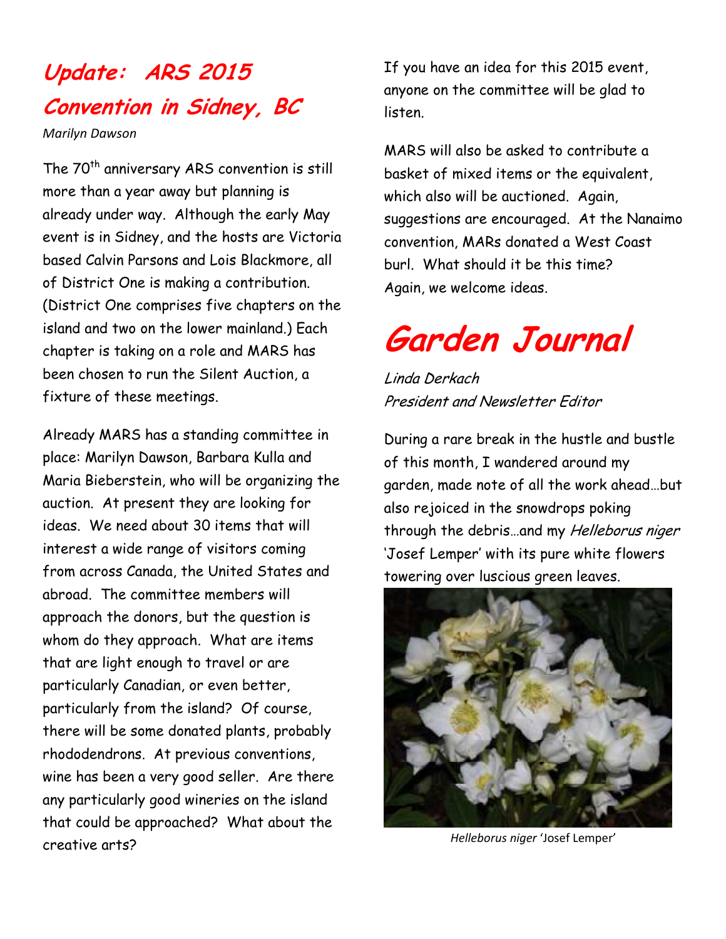### **Update: ARS 2015 Convention in Sidney, BC**

*Marilyn Dawson* 

The 70<sup>th</sup> anniversary ARS convention is still more than a year away but planning is already under way. Although the early May event is in Sidney, and the hosts are Victoria based Calvin Parsons and Lois Blackmore, all of District One is making a contribution. (District One comprises five chapters on the island and two on the lower mainland.) Each chapter is taking on a role and MARS has been chosen to run the Silent Auction, a fixture of these meetings.

Already MARS has a standing committee in place: Marilyn Dawson, Barbara Kulla and Maria Bieberstein, who will be organizing the auction. At present they are looking for ideas. We need about 30 items that will interest a wide range of visitors coming from across Canada, the United States and abroad. The committee members will approach the donors, but the question is whom do they approach. What are items that are light enough to travel or are particularly Canadian, or even better, particularly from the island? Of course, there will be some donated plants, probably rhododendrons. At previous conventions, wine has been a very good seller. Are there any particularly good wineries on the island that could be approached? What about the creative arts?

If you have an idea for this 2015 event, anyone on the committee will be glad to listen.

MARS will also be asked to contribute a basket of mixed items or the equivalent, which also will be auctioned. Again, suggestions are encouraged. At the Nanaimo convention, MARs donated a West Coast burl. What should it be this time? Again, we welcome ideas.

# **Garden Journal**

Linda Derkach President and Newsletter Editor

During a rare break in the hustle and bustle of this month, I wandered around my garden, made note of all the work ahead…but also rejoiced in the snowdrops poking through the debris...and my Helleborus niger 'Josef Lemper' with its pure white flowers towering over luscious green leaves.



*Helleborus niger* 'Josef Lemper'